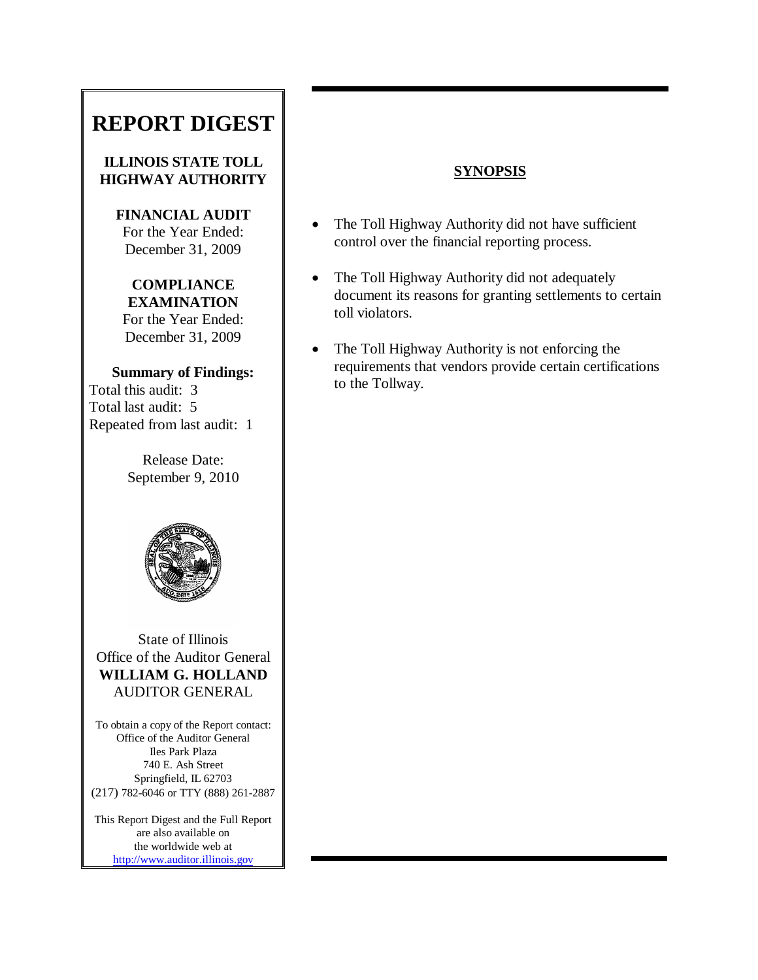# **REPORT DIGEST**

### **ILLINOIS STATE TOLL HIGHWAY AUTHORITY**

**FINANCIAL AUDIT** For the Year Ended: December 31, 2009

# **COMPLIANCE EXAMINATION** For the Year Ended: December 31, 2009

**Summary of Findings:** Total this audit: 3 Total last audit: 5 Repeated from last audit: 1

> Release Date: September 9, 2010



State of Illinois Office of the Auditor General **WILLIAM G. HOLLAND** AUDITOR GENERAL

To obtain a copy of the Report contact: Office of the Auditor General Iles Park Plaza 740 E. Ash Street Springfield, IL 62703 (217) 782-6046 or TTY (888) 261-2887

This Report Digest and the Full Report are also available on the worldwide web at [http://www.auditor.illinois.gov](http://www.auditor.illinois.gov/)

# **SYNOPSIS**

- The Toll Highway Authority did not have sufficient control over the financial reporting process.
- The Toll Highway Authority did not adequately document its reasons for granting settlements to certain toll violators.
- The Toll Highway Authority is not enforcing the requirements that vendors provide certain certifications to the Tollway.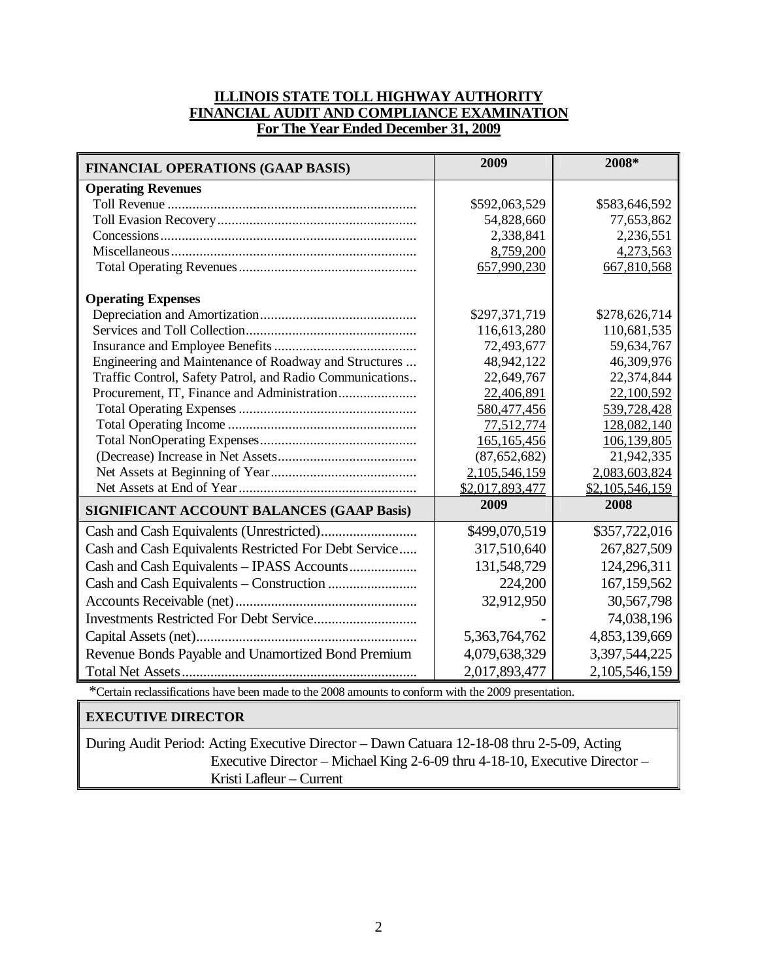### **ILLINOIS STATE TOLL HIGHWAY AUTHORITY FINANCIAL AUDIT AND COMPLIANCE EXAMINATION For The Year Ended December 31, 2009**

| <b>FINANCIAL OPERATIONS (GAAP BASIS)</b>                 | 2009            | 2008*           |
|----------------------------------------------------------|-----------------|-----------------|
| <b>Operating Revenues</b>                                |                 |                 |
|                                                          | \$592,063,529   | \$583,646,592   |
|                                                          | 54,828,660      | 77,653,862      |
|                                                          | 2,338,841       | 2,236,551       |
|                                                          | 8,759,200       | 4,273,563       |
|                                                          | 657,990,230     | 667,810,568     |
| <b>Operating Expenses</b>                                |                 |                 |
|                                                          | \$297,371,719   | \$278,626,714   |
|                                                          | 116,613,280     | 110,681,535     |
|                                                          | 72,493,677      | 59,634,767      |
| Engineering and Maintenance of Roadway and Structures    | 48,942,122      | 46,309,976      |
| Traffic Control, Safety Patrol, and Radio Communications | 22,649,767      | 22,374,844      |
| Procurement, IT, Finance and Administration              | 22,406,891      | 22,100,592      |
|                                                          | 580,477,456     | 539,728,428     |
|                                                          | 77,512,774      | 128,082,140     |
|                                                          | 165,165,456     | 106,139,805     |
|                                                          | (87, 652, 682)  | 21,942,335      |
|                                                          | 2,105,546,159   | 2,083,603,824   |
|                                                          | \$2,017,893,477 | \$2,105,546,159 |
| <b>SIGNIFICANT ACCOUNT BALANCES (GAAP Basis)</b>         | 2009            | 2008            |
|                                                          | \$499,070,519   | \$357,722,016   |
| Cash and Cash Equivalents Restricted For Debt Service    | 317,510,640     | 267,827,509     |
| Cash and Cash Equivalents - IPASS Accounts               | 131,548,729     | 124,296,311     |
|                                                          | 224,200         | 167,159,562     |
|                                                          | 32,912,950      | 30,567,798      |
|                                                          |                 | 74,038,196      |
|                                                          | 5,363,764,762   | 4,853,139,669   |
| Revenue Bonds Payable and Unamortized Bond Premium       | 4,079,638,329   | 3,397,544,225   |
|                                                          | 2,017,893,477   | 2,105,546,159   |

\*Certain reclassifications have been made to the 2008 amounts to conform with the 2009 presentation.

#### **EXECUTIVE DIRECTOR**

During Audit Period: Acting Executive Director – Dawn Catuara 12-18-08 thru 2-5-09, Acting Executive Director – Michael King 2-6-09 thru 4-18-10, Executive Director – Kristi Lafleur – Current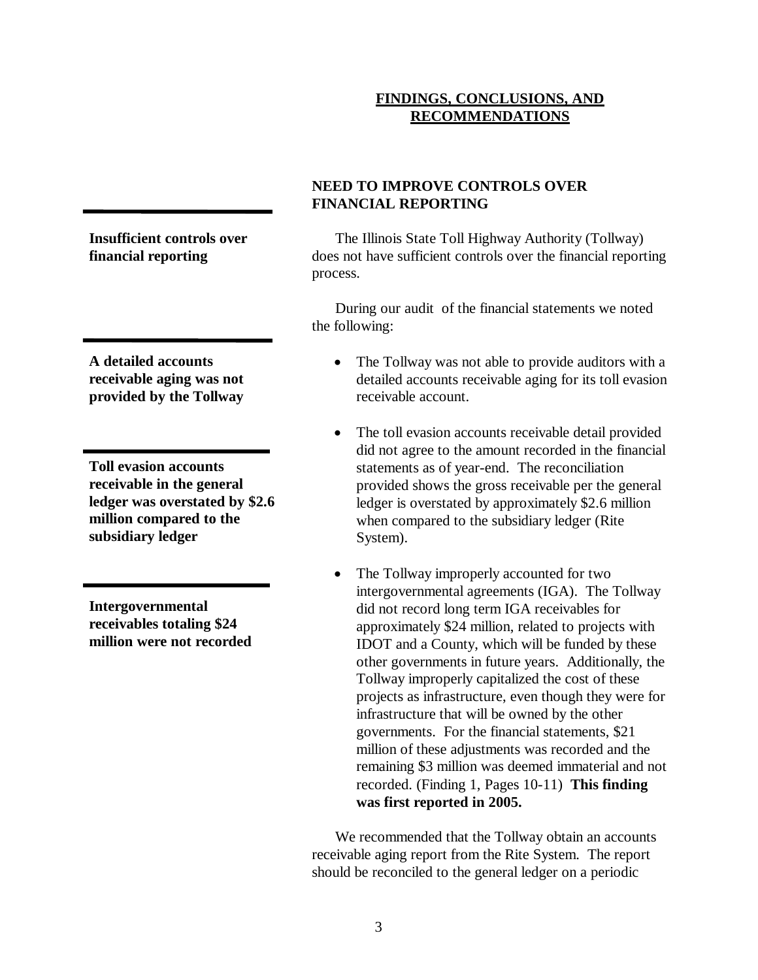## **FINDINGS, CONCLUSIONS, AND RECOMMENDATIONS**

**Insufficient controls over financial reporting**

**A detailed accounts receivable aging was not provided by the Tollway**

**Toll evasion accounts receivable in the general ledger was overstated by \$2.6 million compared to the subsidiary ledger**

**Intergovernmental receivables totaling \$24 million were not recorded**

# **NEED TO IMPROVE CONTROLS OVER FINANCIAL REPORTING**

The Illinois State Toll Highway Authority (Tollway) does not have sufficient controls over the financial reporting process.

During our audit of the financial statements we noted the following:

- The Tollway was not able to provide auditors with a detailed accounts receivable aging for its toll evasion receivable account.
- The toll evasion accounts receivable detail provided did not agree to the amount recorded in the financial statements as of year-end. The reconciliation provided shows the gross receivable per the general ledger is overstated by approximately \$2.6 million when compared to the subsidiary ledger (Rite System).
- The Tollway improperly accounted for two intergovernmental agreements (IGA). The Tollway did not record long term IGA receivables for approximately \$24 million, related to projects with IDOT and a County, which will be funded by these other governments in future years. Additionally, the Tollway improperly capitalized the cost of these projects as infrastructure, even though they were for infrastructure that will be owned by the other governments. For the financial statements, \$21 million of these adjustments was recorded and the remaining \$3 million was deemed immaterial and not recorded. (Finding 1, Pages 10-11) **This finding was first reported in 2005.**

We recommended that the Tollway obtain an accounts receivable aging report from the Rite System. The report should be reconciled to the general ledger on a periodic

3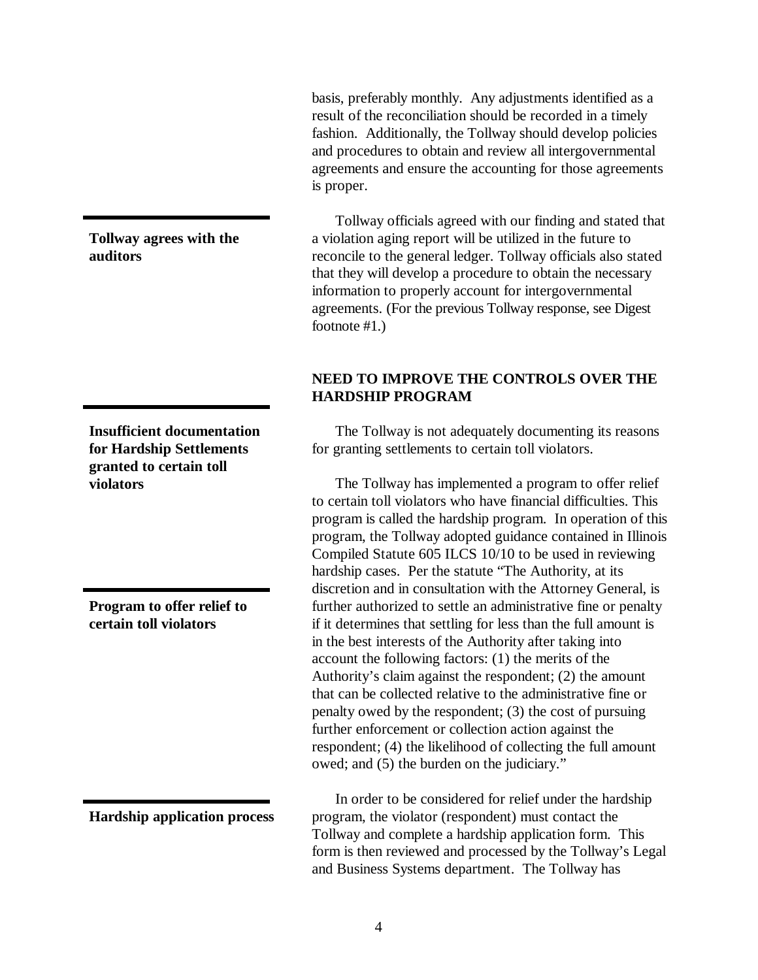basis, preferably monthly. Any adjustments identified as a result of the reconciliation should be recorded in a timely fashion. Additionally, the Tollway should develop policies and procedures to obtain and review all intergovernmental agreements and ensure the accounting for those agreements is proper.

Tollway officials agreed with our finding and stated that a violation aging report will be utilized in the future to reconcile to the general ledger. Tollway officials also stated that they will develop a procedure to obtain the necessary information to properly account for intergovernmental agreements. (For the previous Tollway response, see Digest footnote #1.)

### **NEED TO IMPROVE THE CONTROLS OVER THE HARDSHIP PROGRAM**

The Tollway is not adequately documenting its reasons for granting settlements to certain toll violators.

The Tollway has implemented a program to offer relief to certain toll violators who have financial difficulties. This program is called the hardship program. In operation of this program, the Tollway adopted guidance contained in Illinois Compiled Statute 605 ILCS 10/10 to be used in reviewing hardship cases. Per the statute "The Authority, at its discretion and in consultation with the Attorney General, is further authorized to settle an administrative fine or penalty if it determines that settling for less than the full amount is in the best interests of the Authority after taking into account the following factors: (1) the merits of the Authority's claim against the respondent; (2) the amount that can be collected relative to the administrative fine or penalty owed by the respondent; (3) the cost of pursuing further enforcement or collection action against the respondent; (4) the likelihood of collecting the full amount owed; and (5) the burden on the judiciary."

In order to be considered for relief under the hardship program, the violator (respondent) must contact the Tollway and complete a hardship application form. This form is then reviewed and processed by the Tollway's Legal and Business Systems department. The Tollway has

**Tollway agrees with the auditors**

**Insufficient documentation for Hardship Settlements granted to certain toll violators**

**Program to offer relief to certain toll violators**

**Hardship application process**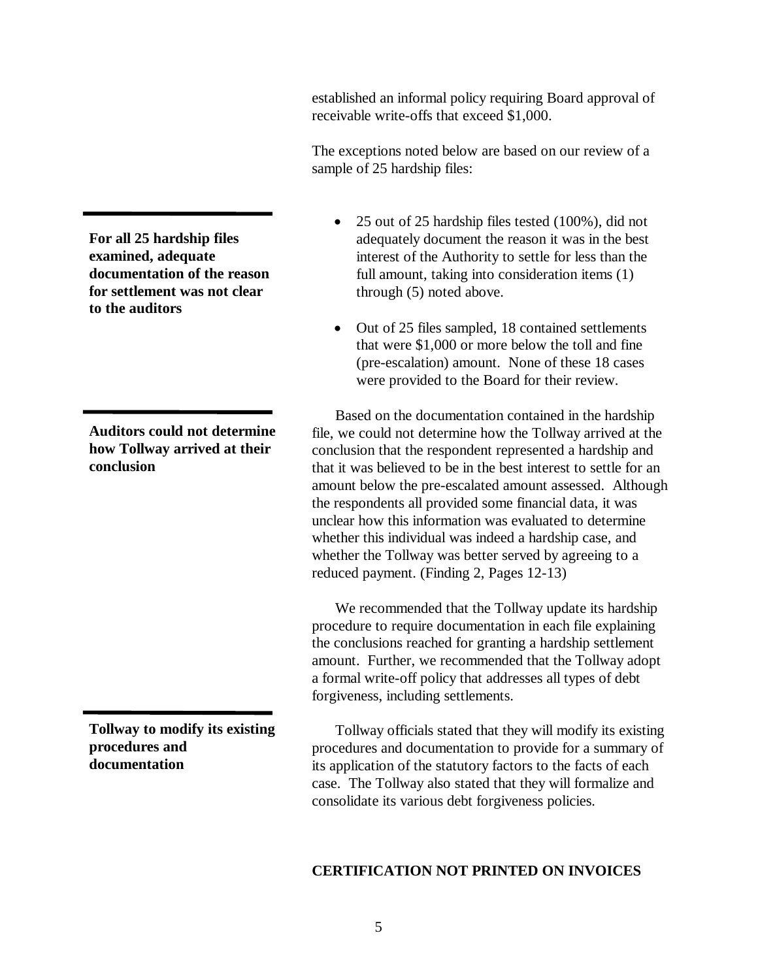established an informal policy requiring Board approval of receivable write-offs that exceed \$1,000.

The exceptions noted below are based on our review of a sample of 25 hardship files:

- 25 out of 25 hardship files tested (100%), did not adequately document the reason it was in the best interest of the Authority to settle for less than the full amount, taking into consideration items (1) through (5) noted above.
- Out of 25 files sampled, 18 contained settlements that were \$1,000 or more below the toll and fine (pre-escalation) amount. None of these 18 cases were provided to the Board for their review.

Based on the documentation contained in the hardship file, we could not determine how the Tollway arrived at the conclusion that the respondent represented a hardship and that it was believed to be in the best interest to settle for an amount below the pre-escalated amount assessed. Although the respondents all provided some financial data, it was unclear how this information was evaluated to determine whether this individual was indeed a hardship case, and whether the Tollway was better served by agreeing to a reduced payment. (Finding 2, Pages 12-13)

We recommended that the Tollway update its hardship procedure to require documentation in each file explaining the conclusions reached for granting a hardship settlement amount. Further, we recommended that the Tollway adopt a formal write-off policy that addresses all types of debt forgiveness, including settlements.

Tollway officials stated that they will modify its existing procedures and documentation to provide for a summary of its application of the statutory factors to the facts of each case. The Tollway also stated that they will formalize and consolidate its various debt forgiveness policies.

### **CERTIFICATION NOT PRINTED ON INVOICES**

**For all 25 hardship files examined, adequate documentation of the reason for settlement was not clear to the auditors**

**Auditors could not determine how Tollway arrived at their conclusion**

**Tollway to modify its existing procedures and documentation**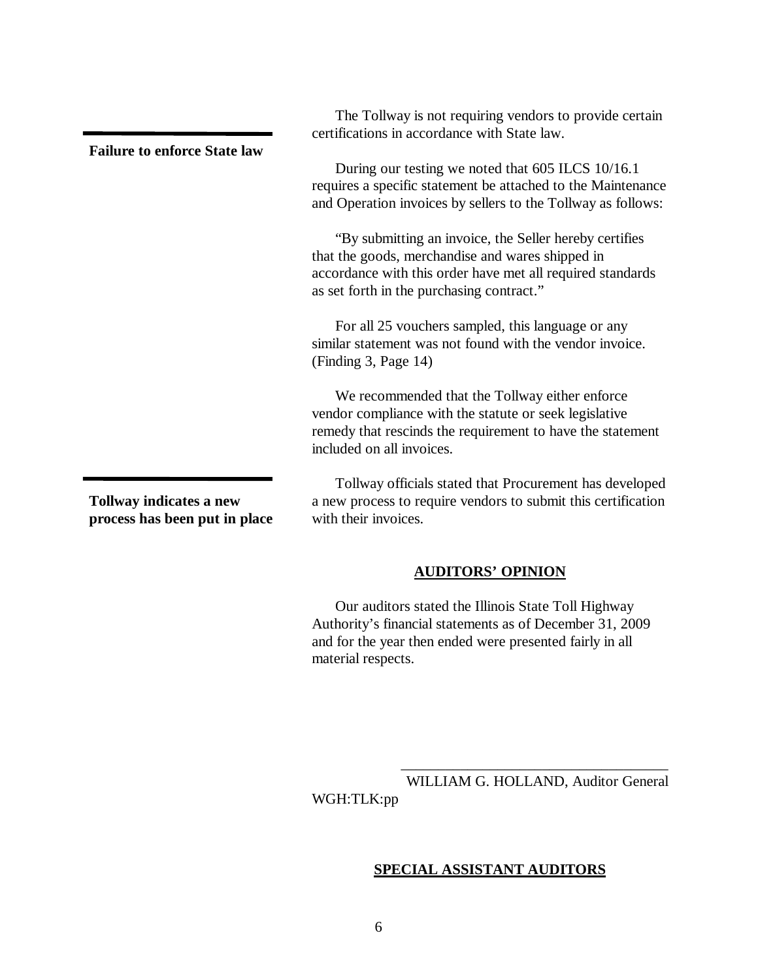as set forth in the purchasing contract." For all 25 vouchers sampled, this language or any similar statement was not found with the vendor invoice. (Finding 3, Page 14) We recommended that the Tollway either enforce vendor compliance with the statute or seek legislative remedy that rescinds the requirement to have the statement included on all invoices.

> Tollway officials stated that Procurement has developed a new process to require vendors to submit this certification with their invoices.

### **AUDITORS' OPINION**

Our auditors stated the Illinois State Toll Highway Authority's financial statements as of December 31, 2009 and for the year then ended were presented fairly in all material respects.

\_\_\_\_\_\_\_\_\_\_\_\_\_\_\_\_\_\_\_\_\_\_\_\_\_\_\_\_\_\_\_\_\_\_\_\_ WILLIAM G. HOLLAND, Auditor General WGH:TLK:pp

#### **SPECIAL ASSISTANT AUDITORS**

6

**process has been put in place**

**Failure to enforce State law**

The Tollway is not requiring vendors to provide certain certifications in accordance with State law.

During our testing we noted that 605 ILCS 10/16.1 requires a specific statement be attached to the Maintenance and Operation invoices by sellers to the Tollway as follows:

"By submitting an invoice, the Seller hereby certifies that the goods, merchandise and wares shipped in accordance with this order have met all required standards

**Tollway indicates a new**